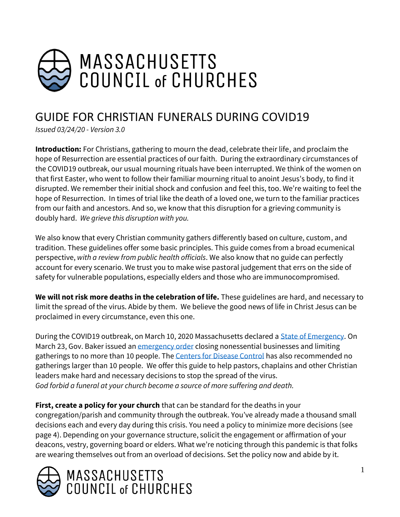

# GUIDE FOR CHRISTIAN FUNERALS DURING COVID19

*Issued 03/24/20 - Version 3.0* 

**Introduction:** For Christians, gathering to mourn the dead, celebrate their life, and proclaim the hope of Resurrection are essential practices of our faith. During the extraordinary circumstances of the COVID19 outbreak, our usual mourning rituals have been interrupted. We think of the women on that first Easter, who went to follow their familiar mourning ritual to anoint Jesus's body, to find it disrupted. We remember their initial shock and confusion and feel this, too. We're waiting to feel the hope of Resurrection. In times of trial like the death of a loved one, we turn to the familiar practices from our faith and ancestors. And so, we know that this disruption for a grieving community is doubly hard. *We grieve this disruption with you.*

We also know that every Christian community gathers differently based on culture, custom, and tradition. These guidelines offer some basic principles. This guide comes from a broad ecumenical perspective, *with a review from public health officials*. We also know that no guide can perfectly account for every scenario. We trust you to make wise pastoral judgement that errs on the side of safety for vulnerable populations, especially elders and those who are immunocompromised.

**We will not risk more deaths in the celebration of life.** These guidelines are hard, and necessary to limit the spread of the virus. Abide by them. We believe the good news of life in Christ Jesus can be proclaimed in every circumstance, even this one.

During the COVID19 outbreak, on March 10, 2020 Massachusetts declared [a State of Emergency.](https://www.mass.gov/info-details/covid-19-state-of-emergency) On March 23, Gov. Baker issued a[n emergency order](https://www.mass.gov/info-details/covid-19-essential-services) closing nonessential businesses and limiting gatherings to no more than 10 people. Th[e Centers for Disease Control](https://www.whitehouse.gov/wp-content/uploads/2020/03/03.16.20_coronavirus-guidance_8.5x11_315PM.pdf) has also recommended no gatherings larger than 10 people. We offer this guide to help pastors, chaplains and other Christian leaders make hard and necessary decisions to stop the spread of the virus. *God forbid a funeral at your church become a source of more suffering and death.* 

**First, create a policy for your church** that can be standard for the deaths in your congregation/parish and community through the outbreak. You've already made a thousand small decisions each and every day during this crisis. You need a policy to minimize more decisions (see page 4). Depending on your governance structure, solicit the engagement or affirmation of your deacons, vestry, governing board or elders. What we're noticing through this pandemic is that folks are wearing themselves out from an overload of decisions. Set the policy now and abide by it.

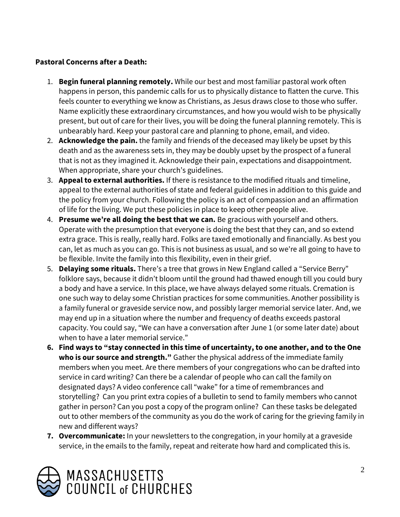## **Pastoral Concerns after a Death:**

- 1. **Begin funeral planning remotely.** While our best and most familiar pastoral work often happens in person, this pandemic calls for us to physically distance to flatten the curve. This feels counter to everything we know as Christians, as Jesus draws close to those who suffer. Name explicitly these extraordinary circumstances, and how you would wish to be physically present, but out of care for their lives, you will be doing the funeral planning remotely. This is unbearably hard. Keep your pastoral care and planning to phone, email, and video.
- 2. **Acknowledge the pain.** the family and friends of the deceased may likely be upset by this death and as the awareness sets in, they may be doubly upset by the prospect of a funeral that is not as they imagined it. Acknowledge their pain, expectations and disappointment. When appropriate, share your church's guidelines.
- 3. **Appeal to external authorities.** If there is resistance to the modified rituals and timeline, appeal to the external authorities of state and federal guidelines in addition to this guide and the policy from your church. Following the policy is an act of compassion and an affirmation of life for the living. We put these policies in place to keep other people alive.
- 4. **Presume we're all doing the best that we can.** Be gracious with yourself and others. Operate with the presumption that everyone is doing the best that they can, and so extend extra grace. This is really, really hard. Folks are taxed emotionally and financially. As best you can, let as much as you can go. This is not business as usual, and so we're all going to have to be flexible. Invite the family into this flexibility, even in their grief.
- 5. **Delaying some rituals.** There's a tree that grows in New England called a "Service Berry" folklore says, because it didn't bloom until the ground had thawed enough till you could bury a body and have a service. In this place, we have always delayed some rituals. Cremation is one such way to delay some Christian practices for some communities. Another possibility is a family funeral or graveside service now, and possibly larger memorial service later. And, we may end up in a situation where the number and frequency of deaths exceeds pastoral capacity. You could say, "We can have a conversation after June 1 (or some later date) about when to have a later memorial service."
- **6. Find ways to "stay connected in this time of uncertainty, to one another, and to the One who is our source and strength."** Gather the physical address of the immediate family members when you meet. Are there members of your congregations who can be drafted into service in card writing? Can there be a calendar of people who can call the family on designated days? A video conference call "wake" for a time of remembrances and storytelling? Can you print extra copies of a bulletin to send to family members who cannot gather in person? Can you post a copy of the program online? Can these tasks be delegated out to other members of the community as you do the work of caring for the grieving family in new and different ways?
- **7. Overcommunicate:** In your newsletters to the congregation, in your homily at a graveside service, in the emails to the family, repeat and reiterate how hard and complicated this is.

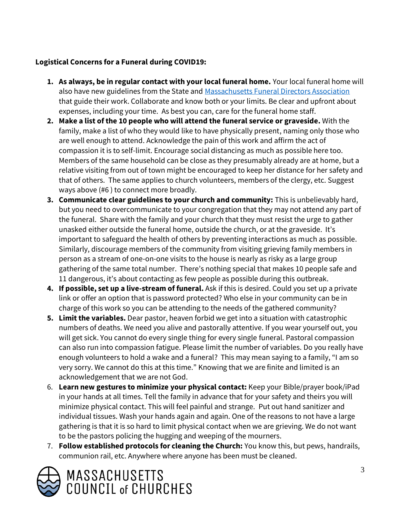## **Logistical Concerns for a Funeral during COVID19:**

- **1. As always, be in regular contact with your local funeral home.** Your local funeral home will also have new guidelines from the State and [Massachusetts Funeral Directors Association](https://www.massfda.org/) that guide their work. Collaborate and know both or your limits. Be clear and upfront about expenses, including your time. As best you can, care for the funeral home staff.
- **2. Make a list of the 10 people who will attend the funeral service or graveside.** With the family, make a list of who they would like to have physically present, naming only those who are well enough to attend. Acknowledge the pain of this work and affirm the act of compassion it is to self-limit. Encourage social distancing as much as possible here too. Members of the same household can be close as they presumably already are at home, but a relative visiting from out of town might be encouraged to keep her distance for her safety and that of others. The same applies to church volunteers, members of the clergy, etc. Suggest ways above (#6 ) to connect more broadly.
- **3. Communicate clear guidelines to your church and community:** This is unbelievably hard, but you need to overcommunicate to your congregation that they may not attend any part of the funeral. Share with the family and your church that they must resist the urge to gather unasked either outside the funeral home, outside the church, or at the graveside. It's important to safeguard the health of others by preventing interactions as much as possible. Similarly, discourage members of the community from visiting grieving family members in person as a stream of one-on-one visits to the house is nearly as risky as a large group gathering of the same total number. There's nothing special that makes 10 people safe and 11 dangerous, it's about contacting as few people as possible during this outbreak.
- **4. If possible, set up a live-stream of funeral.** Ask if this is desired. Could you set up a private link or offer an option that is password protected? Who else in your community can be in charge of this work so you can be attending to the needs of the gathered community?
- **5. Limit the variables.** Dear pastor, heaven forbid we get into a situation with catastrophic numbers of deaths. We need you alive and pastorally attentive. If you wear yourself out, you will get sick. You cannot do every single thing for every single funeral. Pastoral compassion can also run into compassion fatigue. Please limit the number of variables. Do you really have enough volunteers to hold a wake and a funeral? This may mean saying to a family, "I am so very sorry. We cannot do this at this time." Knowing that we are finite and limited is an acknowledgement that we are not God.
- 6. **Learn new gestures to minimize your physical contact:** Keep your Bible/prayer book/iPad in your hands at all times. Tell the family in advance that for your safety and theirs you will minimize physical contact. This will feel painful and strange. Put out hand sanitizer and individual tissues. Wash your hands again and again. One of the reasons to not have a large gathering is that it is so hard to limit physical contact when we are grieving. We do not want to be the pastors policing the hugging and weeping of the mourners.
- 7. **Follow established protocols for cleaning the Church:** You know this, but pews, handrails, communion rail, etc. Anywhere where anyone has been must be cleaned.

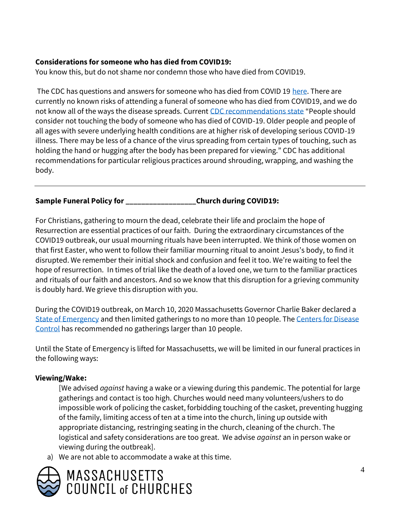## **Considerations for someone who has died from COVID19:**

You know this, but do not shame nor condemn those who have died from COVID19.

The CDC has questions and answers for someone who has died from COVID 19 [here.](https://www.cdc.gov/coronavirus/2019-ncov/faq.html?fbclid=IwAR1qMO1Hdslqt8lOSAYas4-z0Cbc5BA-K4uT-nn_Z6w3YYbRnPERpGBiqS4#funerals) There are currently no known risks of attending a funeral of someone who has died from COVID19, and we do not know all of the ways the disease spreads. Curren[t CDC recommendations state](https://www.cdc.gov/coronavirus/2019-ncov/faq.html?fbclid=IwAR1qMO1Hdslqt8lOSAYas4-z0Cbc5BA-K4uT-nn_Z6w3YYbRnPERpGBiqS4#funerals) "People should consider not touching the body of someone who has died of COVID-19. Older people and people of all ages with severe underlying health conditions are at higher risk of developing serious COVID-19 illness. There may be less of a chance of the virus spreading from certain types of touching, such as holding the hand or hugging after the body has been prepared for viewing." CDC has additional recommendations for particular religious practices around shrouding, wrapping, and washing the body.

## **Sample Funeral Policy for \_\_\_\_\_\_\_\_\_\_\_\_\_\_\_\_\_\_Church during COVID19:**

For Christians, gathering to mourn the dead, celebrate their life and proclaim the hope of Resurrection are essential practices of our faith. During the extraordinary circumstances of the COVID19 outbreak, our usual mourning rituals have been interrupted. We think of those women on that first Easter, who went to follow their familiar mourning ritual to anoint Jesus's body, to find it disrupted. We remember their initial shock and confusion and feel it too. We're waiting to feel the hope of resurrection. In times of trial like the death of a loved one, we turn to the familiar practices and rituals of our faith and ancestors. And so we know that this disruption for a grieving community is doubly hard. We grieve this disruption with you.

During the COVID19 outbreak, on March 10, 2020 Massachusetts Governor Charlie Baker declared a [State of Emergency](https://www.mass.gov/info-details/covid-19-state-of-emergency) and then limited gatherings to no more than 10 people. Th[e Centers for Disease](https://www.whitehouse.gov/wp-content/uploads/2020/03/03.16.20_coronavirus-guidance_8.5x11_315PM.pdf)  [Control](https://www.whitehouse.gov/wp-content/uploads/2020/03/03.16.20_coronavirus-guidance_8.5x11_315PM.pdf) has recommended no gatherings larger than 10 people.

Until the State of Emergency is lifted for Massachusetts, we will be limited in our funeral practices in the following ways:

### **Viewing/Wake:**

[We advised *against* having a wake or a viewing during this pandemic. The potential for large gatherings and contact is too high. Churches would need many volunteers/ushers to do impossible work of policing the casket, forbidding touching of the casket, preventing hugging of the family, limiting access of ten at a time into the church, lining up outside with appropriate distancing, restringing seating in the church, cleaning of the church. The logistical and safety considerations are too great. We advise *against* an in person wake or viewing during the outbreak].

a) We are not able to accommodate a wake at this time.